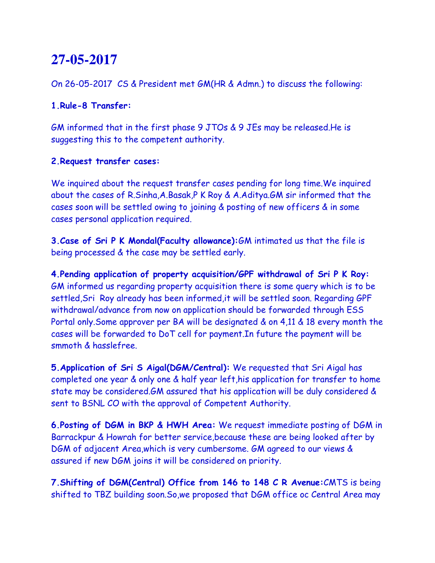# **27-05-2017**

On 26-05-2017 CS & President met GM(HR & Admn.) to discuss the following:

### **1.Rule-8 Transfer:**

GM informed that in the first phase 9 JTOs & 9 JEs may be released.He is suggesting this to the competent authority.

### **2.Request transfer cases:**

We inquired about the request transfer cases pending for long time.We inquired about the cases of R.Sinha,A.Basak,P K Roy & A.Aditya.GM sir informed that the cases soon will be settled owing to joining & posting of new officers & in some cases personal application required.

**3.Case of Sri P K Mondal(Faculty allowance):**GM intimated us that the file is being processed & the case may be settled early.

**4.Pending application of property acquisition/GPF withdrawal of Sri P K Roy:**  GM informed us regarding property acquisition there is some query which is to be settled,Sri Roy already has been informed,it will be settled soon. Regarding GPF withdrawal/advance from now on application should be forwarded through ESS Portal only.Some approver per BA will be designated & on 4,11 & 18 every month the cases will be forwarded to DoT cell for payment.In future the payment will be smmoth & hasslefree.

**5.Application of Sri S Aigal(DGM/Central):** We requested that Sri Aigal has completed one year & only one & half year left,his application for transfer to home state may be considered.GM assured that his application will be duly considered & sent to BSNL CO with the approval of Competent Authority.

**6.Posting of DGM in BKP & HWH Area:** We request immediate posting of DGM in Barrackpur & Howrah for better service,because these are being looked after by DGM of adjacent Area,which is very cumbersome. GM agreed to our views & assured if new DGM joins it will be considered on priority.

**7.Shifting of DGM(Central) Office from 146 to 148 C R Avenue:**CMTS is being shifted to TBZ building soon.So,we proposed that DGM office oc Central Area may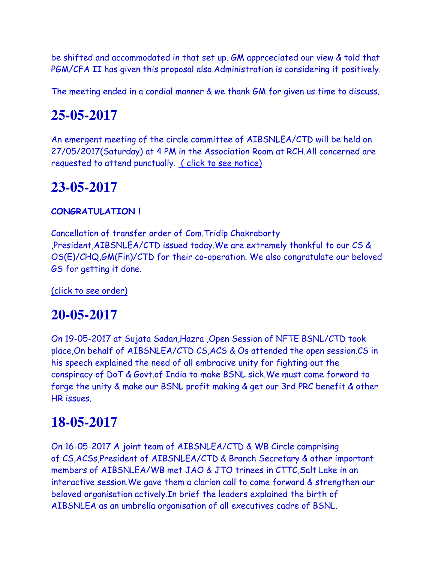be shifted and accommodated in that set up. GM apprceciated our view & told that PGM/CFA II has given this proposal also.Administration is considering it positively.

The meeting ended in a cordial manner & we thank GM for given us time to discuss.

## **25-05-2017**

An emergent meeting of the circle committee of AIBSNLEA/CTD will be held on 27/05/2017(Saturday) at 4 PM in the Association Room at RCH.All concerned are requested to attend punctually. ( click to see notice)

## **23-05-2017**

### **CONGRATULATION !**

Cancellation of transfer order of Com.Tridip Chakraborty ,President,AIBSNLEA/CTD issued today.We are extremely thankful to our CS & OS(E)/CHQ,GM(Fin)/CTD for their co-operation. We also congratulate our beloved GS for getting it done.

(click to see order)

### **20-05-2017**

On 19-05-2017 at Sujata Sadan,Hazra ,Open Session of NFTE BSNL/CTD took place,On behalf of AIBSNLEA/CTD CS,ACS & Os attended the open session.CS in his speech explained the need of all embracive unity for fighting out the conspiracy of DoT & Govt.of India to make BSNL sick.We must come forward to forge the unity & make our BSNL profit making & get our 3rd PRC benefit & other HR issues.

## **18-05-2017**

On 16-05-2017 A joint team of AIBSNLEA/CTD & WB Circle comprising of CS,ACSs,President of AIBSNLEA/CTD & Branch Secretary & other important members of AIBSNLEA/WB met JAO & JTO trinees in CTTC,Salt Lake in an interactive session.We gave them a clarion call to come forward & strengthen our beloved organisation actively.In brief the leaders explained the birth of AIBSNLEA as an umbrella organisation of all executives cadre of BSNL.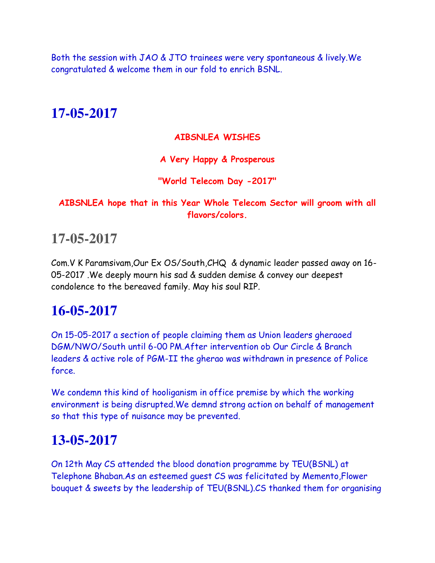Both the session with JAO & JTO trainees were very spontaneous & lively.We congratulated & welcome them in our fold to enrich BSNL.

# **17-05-2017**

### **AIBSNLEA WISHES**

### **A Very Happy & Prosperous**

### **"World Telecom Day -2017"**

### **AIBSNLEA hope that in this Year Whole Telecom Sector will groom with all flavors/colors.**

# **17-05-2017**

Com.V K Paramsivam,Our Ex OS/South,CHQ & dynamic leader passed away on 16- 05-2017 .We deeply mourn his sad & sudden demise & convey our deepest condolence to the bereaved family. May his soul RIP.

# **16-05-2017**

On 15-05-2017 a section of people claiming them as Union leaders gheraoed DGM/NWO/South until 6-00 PM.After intervention ob Our Circle & Branch leaders & active role of PGM-II the gherao was withdrawn in presence of Police force.

We condemn this kind of hooliganism in office premise by which the working environment is being disrupted.We demnd strong action on behalf of management so that this type of nuisance may be prevented.

# **13-05-2017**

On 12th May CS attended the blood donation programme by TEU(BSNL) at Telephone Bhaban.As an esteemed guest CS was felicitated by Memento,Flower bouquet & sweets by the leadership of TEU(BSNL).CS thanked them for organising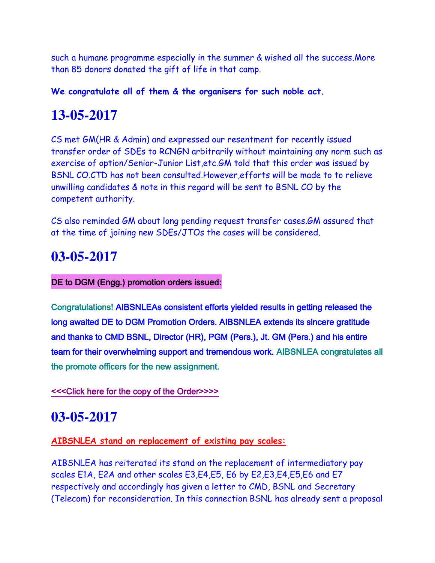such a humane programme especially in the summer & wished all the success.More than 85 donors donated the gift of life in that camp.

**We congratulate all of them & the organisers for such noble act.**

# **13-05-2017**

CS met GM(HR & Admin) and expressed our resentment for recently issued transfer order of SDEs to RCNGN arbitrarily without maintaining any norm such as exercise of option/Senior-Junior List,etc.GM told that this order was issued by BSNL CO.CTD has not been consulted.However,efforts will be made to to relieve unwilling candidates & note in this regard will be sent to BSNL CO by the competent authority.

CS also reminded GM about long pending request transfer cases.GM assured that at the time of joining new SDEs/JTOs the cases will be considered.

# **03-05-2017**

### DE to DGM (Engg.) promotion orders issued:

Congratulations! AIBSNLEAs consistent efforts yielded results in getting released the long awaited DE to DGM Promotion Orders. AIBSNLEA extends its sincere gratitude and thanks to CMD BSNL, Director (HR), PGM (Pers.), Jt. GM (Pers.) and his entire team for their overwhelming support and tremendous work. AIBSNLEA congratulates all the promote officers for the new assignment.

### [<<<Click here for the copy of the Order>>>>](http://www.aibsnleachq.in/DGM_20PRMN_A_03_05_2017.PDF)

### **03-05-2017**

### **AIBSNLEA stand on replacement of existing pay scales:**

AIBSNLEA has reiterated its stand on the replacement of intermediatory pay scales E1A, E2A and other scales E3,E4,E5, E6 by E2,E3,E4,E5,E6 and E7 respectively and accordingly has given a letter to CMD, BSNL and Secretary (Telecom) for reconsideration. In this connection BSNL has already sent a proposal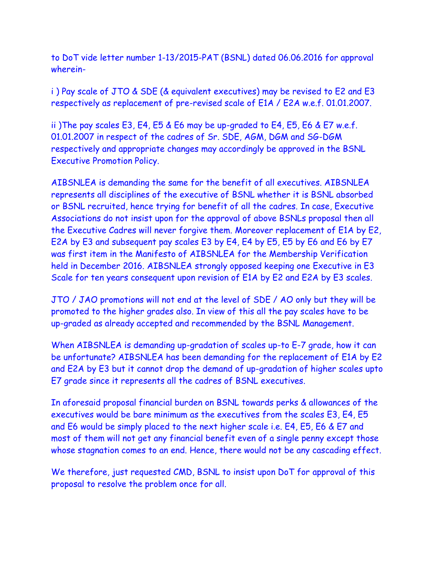to DoT vide letter number 1-13/2015-PAT (BSNL) dated 06.06.2016 for approval wherein-

i ) Pay scale of JTO & SDE (& equivalent executives) may be revised to E2 and E3 respectively as replacement of pre-revised scale of E1A / E2A w.e.f. 01.01.2007.

ii )The pay scales E3, E4, E5 & E6 may be up-graded to E4, E5, E6 & E7 w.e.f. 01.01.2007 in respect of the cadres of Sr. SDE, AGM, DGM and SG-DGM respectively and appropriate changes may accordingly be approved in the BSNL Executive Promotion Policy.

AIBSNLEA is demanding the same for the benefit of all executives. AIBSNLEA represents all disciplines of the executive of BSNL whether it is BSNL absorbed or BSNL recruited, hence trying for benefit of all the cadres. In case, Executive Associations do not insist upon for the approval of above BSNLs proposal then all the Executive Cadres will never forgive them. Moreover replacement of E1A by E2, E2A by E3 and subsequent pay scales E3 by E4, E4 by E5, E5 by E6 and E6 by E7 was first item in the Manifesto of AIBSNLEA for the Membership Verification held in December 2016. AIBSNLEA strongly opposed keeping one Executive in E3 Scale for ten years consequent upon revision of E1A by E2 and E2A by E3 scales.

JTO / JAO promotions will not end at the level of SDE / AO only but they will be promoted to the higher grades also. In view of this all the pay scales have to be up-graded as already accepted and recommended by the BSNL Management.

When AIBSNLEA is demanding up-gradation of scales up-to E-7 grade, how it can be unfortunate? AIBSNLEA has been demanding for the replacement of E1A by E2 and E2A by E3 but it cannot drop the demand of up-gradation of higher scales upto E7 grade since it represents all the cadres of BSNL executives.

In aforesaid proposal financial burden on BSNL towards perks & allowances of the executives would be bare minimum as the executives from the scales E3, E4, E5 and E6 would be simply placed to the next higher scale i.e. E4, E5, E6 & E7 and most of them will not get any financial benefit even of a single penny except those whose stagnation comes to an end. Hence, there would not be any cascading effect.

We therefore, just requested CMD, BSNL to insist upon DoT for approval of this proposal to resolve the problem once for all.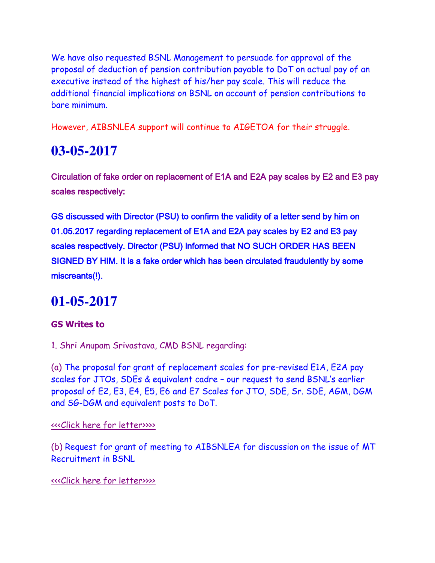We have also requested BSNL Management to persuade for approval of the proposal of deduction of pension contribution payable to DoT on actual pay of an executive instead of the highest of his/her pay scale. This will reduce the additional financial implications on BSNL on account of pension contributions to bare minimum.

However, AIBSNLEA support will continue to AIGETOA for their struggle.

# **03-05-2017**

Circulation of fake order on replacement of E1A and E2A pay scales by E2 and E3 pay scales respectively:

GS discussed with Director (PSU) to confirm the validity of a letter send by him on 01.05.2017 regarding replacement of E1A and E2A pay scales by E2 and E3 pay scales respectively. Director (PSU) informed that NO SUCH ORDER HAS BEEN SIGNED BY HIM. It is a fake order which has been circulated fraudulently by some miscreants(!).

# **01-05-2017**

### **GS Writes to**

1. Shri Anupam Srivastava, CMD BSNL regarding:

(a) The proposal for grant of replacement scales for pre-revised E1A, E2A pay scales for JTOs, SDEs & equivalent cadre – our request to send BSNL's earlier proposal of E2, E3, E4, E5, E6 and E7 Scales for JTO, SDE, Sr. SDE, AGM, DGM and SG-DGM and equivalent posts to DoT.

### [<<<Click here for letter>>>>](http://www.aibsnleachq.in/CMD_E2E3_170501.pdf)

(b) Request for grant of meeting to AIBSNLEA for discussion on the issue of MT Recruitment in BSNL

### [<<<Click here for letter>>>>](http://www.aibsnleachq.in/CMD_170501.pdf)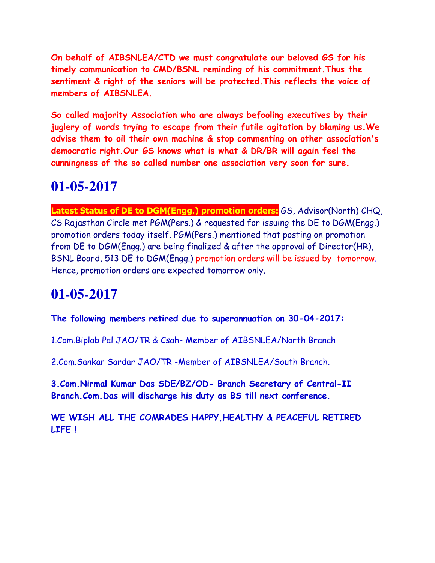**On behalf of AIBSNLEA/CTD we must congratulate our beloved GS for his timely communication to CMD/BSNL reminding of his commitment.Thus the sentiment & right of the seniors will be protected.This reflects the voice of members of AIBSNLEA.**

**So called majority Association who are always befooling executives by their juglery of words trying to escape from their futile agitation by blaming us.We advise them to oil their own machine & stop commenting on other association's democratic right.Our GS knows what is what & DR/BR will again feel the cunningness of the so called number one association very soon for sure.** 

### **01-05-2017**

**Latest Status of DE to DGM(Engg.) promotion orders:** GS, Advisor(North) CHQ, CS Rajasthan Circle met PGM(Pers.) & requested for issuing the DE to DGM(Engg.) promotion orders today itself. PGM(Pers.) mentioned that posting on promotion from DE to DGM(Engg.) are being finalized & after the approval of Director(HR), BSNL Board, 513 DE to DGM(Engg.) promotion orders will be issued by tomorrow. Hence, promotion orders are expected tomorrow only.

### **01-05-2017**

**The following members retired due to superannuation on 30-04-2017:**

1.Com.Biplab Pal JAO/TR & Csah- Member of AIBSNLEA/North Branch

2.Com.Sankar Sardar JAO/TR -Member of AIBSNLEA/South Branch.

**3.Com.Nirmal Kumar Das SDE/BZ/OD- Branch Secretary of Central-II Branch.Com.Das will discharge his duty as BS till next conference.**

**WE WISH ALL THE COMRADES HAPPY,HEALTHY & PEACEFUL RETIRED LIFE !**